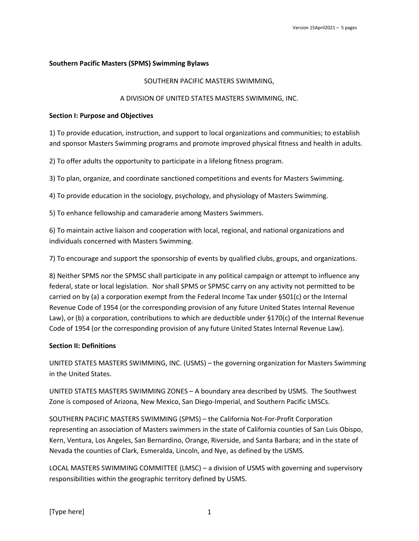## Southern Pacific Masters (SPMS) Swimming Bylaws

### SOUTHERN PACIFIC MASTERS SWIMMING,

#### A DIVISION OF UNITED STATES MASTERS SWIMMING, INC.

#### Section I: Purpose and Objectives

1) To provide education, instruction, and support to local organizations and communities; to establish and sponsor Masters Swimming programs and promote improved physical fitness and health in adults.

2) To offer adults the opportunity to participate in a lifelong fitness program.

3) To plan, organize, and coordinate sanctioned competitions and events for Masters Swimming.

4) To provide education in the sociology, psychology, and physiology of Masters Swimming.

5) To enhance fellowship and camaraderie among Masters Swimmers.

6) To maintain active liaison and cooperation with local, regional, and national organizations and individuals concerned with Masters Swimming.

7) To encourage and support the sponsorship of events by qualified clubs, groups, and organizations.

8) Neither SPMS nor the SPMSC shall participate in any political campaign or attempt to influence any federal, state or local legislation. Nor shall SPMS or SPMSC carry on any activity not permitted to be carried on by (a) a corporation exempt from the Federal Income Tax under §501(c) or the Internal Revenue Code of 1954 (or the corresponding provision of any future United States Internal Revenue Law), or (b) a corporation, contributions to which are deductible under §170(c) of the Internal Revenue Code of 1954 (or the corresponding provision of any future United States Internal Revenue Law).

### Section II: Definitions

UNITED STATES MASTERS SWIMMING, INC. (USMS) – the governing organization for Masters Swimming in the United States.

UNITED STATES MASTERS SWIMMING ZONES – A boundary area described by USMS. The Southwest Zone is composed of Arizona, New Mexico, San Diego-Imperial, and Southern Pacific LMSCs.

SOUTHERN PACIFIC MASTERS SWIMMING (SPMS) – the California Not-For-Profit Corporation representing an association of Masters swimmers in the state of California counties of San Luis Obispo, Kern, Ventura, Los Angeles, San Bernardino, Orange, Riverside, and Santa Barbara; and in the state of Nevada the counties of Clark, Esmeralda, Lincoln, and Nye, as defined by the USMS.

LOCAL MASTERS SWIMMING COMMITTEE (LMSC) – a division of USMS with governing and supervisory responsibilities within the geographic territory defined by USMS.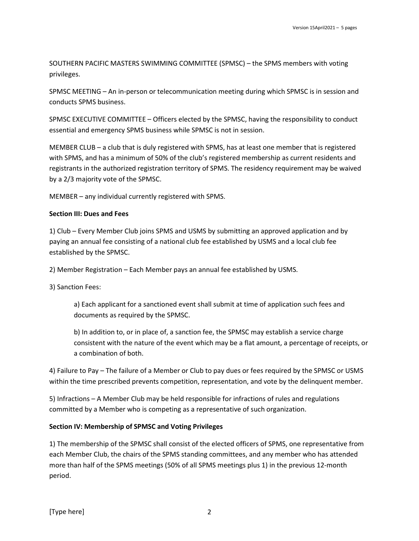SOUTHERN PACIFIC MASTERS SWIMMING COMMITTEE (SPMSC) – the SPMS members with voting privileges.

SPMSC MEETING – An in-person or telecommunication meeting during which SPMSC is in session and conducts SPMS business.

SPMSC EXECUTIVE COMMITTEE – Officers elected by the SPMSC, having the responsibility to conduct essential and emergency SPMS business while SPMSC is not in session.

MEMBER CLUB – a club that is duly registered with SPMS, has at least one member that is registered with SPMS, and has a minimum of 50% of the club's registered membership as current residents and registrants in the authorized registration territory of SPMS. The residency requirement may be waived by a 2/3 majority vote of the SPMSC.

MEMBER – any individual currently registered with SPMS.

### Section III: Dues and Fees

1) Club – Every Member Club joins SPMS and USMS by submitting an approved application and by paying an annual fee consisting of a national club fee established by USMS and a local club fee established by the SPMSC.

2) Member Registration – Each Member pays an annual fee established by USMS.

3) Sanction Fees:

a) Each applicant for a sanctioned event shall submit at time of application such fees and documents as required by the SPMSC.

b) In addition to, or in place of, a sanction fee, the SPMSC may establish a service charge consistent with the nature of the event which may be a flat amount, a percentage of receipts, or a combination of both.

4) Failure to Pay – The failure of a Member or Club to pay dues or fees required by the SPMSC or USMS within the time prescribed prevents competition, representation, and vote by the delinquent member.

5) Infractions – A Member Club may be held responsible for infractions of rules and regulations committed by a Member who is competing as a representative of such organization.

# Section IV: Membership of SPMSC and Voting Privileges

1) The membership of the SPMSC shall consist of the elected officers of SPMS, one representative from each Member Club, the chairs of the SPMS standing committees, and any member who has attended more than half of the SPMS meetings (50% of all SPMS meetings plus 1) in the previous 12-month period.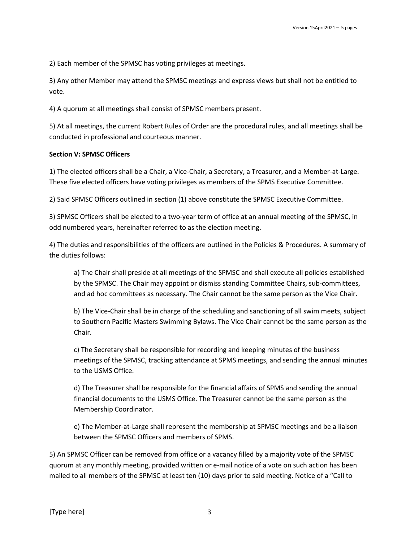2) Each member of the SPMSC has voting privileges at meetings.

3) Any other Member may attend the SPMSC meetings and express views but shall not be entitled to vote.

4) A quorum at all meetings shall consist of SPMSC members present.

5) At all meetings, the current Robert Rules of Order are the procedural rules, and all meetings shall be conducted in professional and courteous manner.

### Section V: SPMSC Officers

1) The elected officers shall be a Chair, a Vice-Chair, a Secretary, a Treasurer, and a Member-at-Large. These five elected officers have voting privileges as members of the SPMS Executive Committee.

2) Said SPMSC Officers outlined in section (1) above constitute the SPMSC Executive Committee.

3) SPMSC Officers shall be elected to a two-year term of office at an annual meeting of the SPMSC, in odd numbered years, hereinafter referred to as the election meeting.

4) The duties and responsibilities of the officers are outlined in the Policies & Procedures. A summary of the duties follows:

a) The Chair shall preside at all meetings of the SPMSC and shall execute all policies established by the SPMSC. The Chair may appoint or dismiss standing Committee Chairs, sub-committees, and ad hoc committees as necessary. The Chair cannot be the same person as the Vice Chair.

b) The Vice-Chair shall be in charge of the scheduling and sanctioning of all swim meets, subject to Southern Pacific Masters Swimming Bylaws. The Vice Chair cannot be the same person as the Chair.

c) The Secretary shall be responsible for recording and keeping minutes of the business meetings of the SPMSC, tracking attendance at SPMS meetings, and sending the annual minutes to the USMS Office.

d) The Treasurer shall be responsible for the financial affairs of SPMS and sending the annual financial documents to the USMS Office. The Treasurer cannot be the same person as the Membership Coordinator.

e) The Member-at-Large shall represent the membership at SPMSC meetings and be a liaison between the SPMSC Officers and members of SPMS.

5) An SPMSC Officer can be removed from office or a vacancy filled by a majority vote of the SPMSC quorum at any monthly meeting, provided written or e-mail notice of a vote on such action has been mailed to all members of the SPMSC at least ten (10) days prior to said meeting. Notice of a "Call to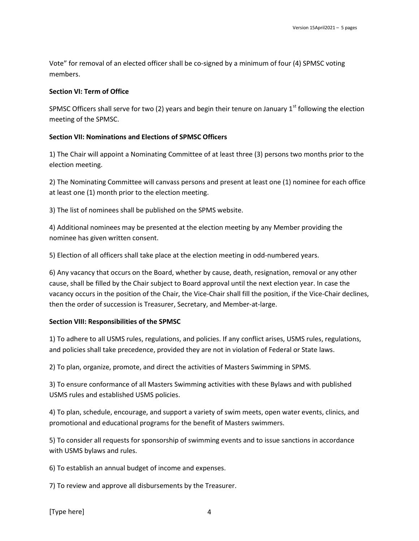Vote" for removal of an elected officer shall be co-signed by a minimum of four (4) SPMSC voting members.

#### Section VI: Term of Office

SPMSC Officers shall serve for two (2) years and begin their tenure on January  $1<sup>st</sup>$  following the election meeting of the SPMSC.

### Section VII: Nominations and Elections of SPMSC Officers

1) The Chair will appoint a Nominating Committee of at least three (3) persons two months prior to the election meeting.

2) The Nominating Committee will canvass persons and present at least one (1) nominee for each office at least one (1) month prior to the election meeting.

3) The list of nominees shall be published on the SPMS website.

4) Additional nominees may be presented at the election meeting by any Member providing the nominee has given written consent.

5) Election of all officers shall take place at the election meeting in odd-numbered years.

6) Any vacancy that occurs on the Board, whether by cause, death, resignation, removal or any other cause, shall be filled by the Chair subject to Board approval until the next election year. In case the vacancy occurs in the position of the Chair, the Vice-Chair shall fill the position, if the Vice-Chair declines, then the order of succession is Treasurer, Secretary, and Member-at-large.

### Section VIII: Responsibilities of the SPMSC

1) To adhere to all USMS rules, regulations, and policies. If any conflict arises, USMS rules, regulations, and policies shall take precedence, provided they are not in violation of Federal or State laws.

2) To plan, organize, promote, and direct the activities of Masters Swimming in SPMS.

3) To ensure conformance of all Masters Swimming activities with these Bylaws and with published USMS rules and established USMS policies.

4) To plan, schedule, encourage, and support a variety of swim meets, open water events, clinics, and promotional and educational programs for the benefit of Masters swimmers.

5) To consider all requests for sponsorship of swimming events and to issue sanctions in accordance with USMS bylaws and rules.

6) To establish an annual budget of income and expenses.

7) To review and approve all disbursements by the Treasurer.